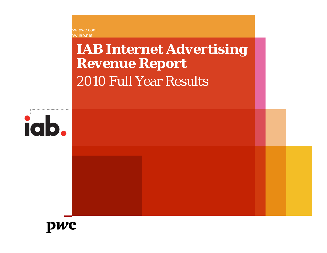www.pwc.com ww.iab.net

# *IAB Internet Advertising Revenue Report* 2010 Full Year Results



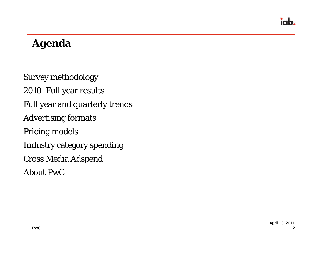### *Agenda*

Survey methodology 2010 Full year results Full year and quarterly trends Advertising formats Pricing models Industry category spending Cross Media Adspend

About PwC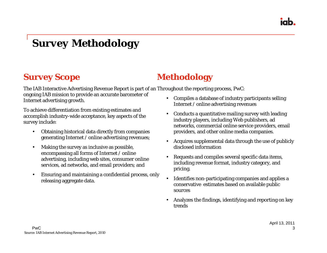iah

### *Survey Methodology*

#### **Survey Scope**

The IAB Interactive Advertising Revenue Report is part of an Throughout the reporting process, PwC:

ongoing IAB mission to provide an accurate barometer of Internet advertising growth.

To achieve differentiation from existing estimates and accomplish industry-wide acceptance, key aspects of the survey include:

- $\bullet$  Obtaining historical data directly from companies generating Internet / online advertising revenues;
- • Making the survey as inclusive as possible, encompassing all forms of Internet / online advertising, including web sites, consumer online services, ad networks, and email providers; and
- • Ensuring and maintaining a confidential process, only releasing aggregate data.

• Compiles a database of industry participants selling Internet / online advertising revenues

**Methodology**

- • Conducts a quantitative mailing survey with leading industry players, including Web publishers, ad networks, commercial online service providers, email providers, and other online media companies.
- $\bullet$  Acquires supplemental data through the use of publicly disclosed information
- • Requests and compiles several specific data items, including revenue format, industry category, and pricing.
- • Identifies non-participating companies and applies a conservative estimates based on available public sources
- • Analyzes the findings, identifying and reporting on key trends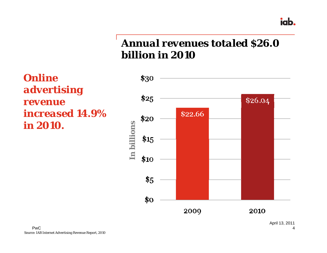#### iab.

### *Annual revenues totaled \$26.0 billion in 2010*

*Online advertising revenue increased 14.9% in 2010.*

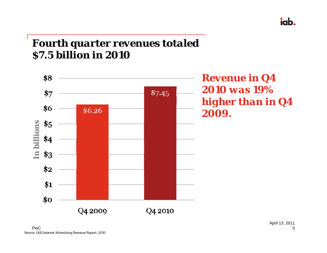### *Fourth quarter revenues totaled \$7.5 billion in 2010*



*Revenue in Q4 2010 was 19% higher than in Q4 2009.*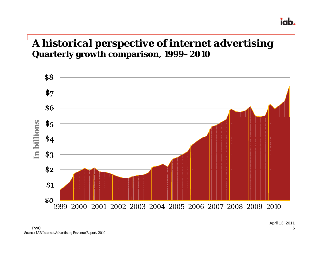#### *A historical perspective of internet advertising* **Quarterly growth comparison, 1999–2010**

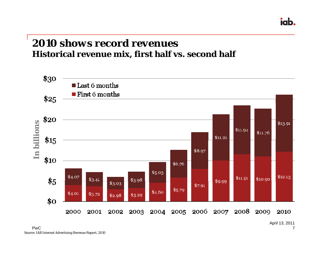#### *2010 shows record revenues***Historical revenue mix, first half vs. second half**

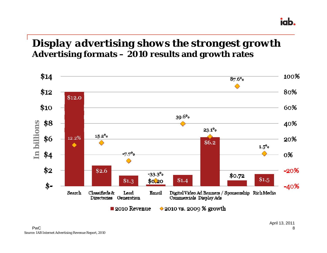#### *Display advertising shows the strongest growth* **Advertising formats – 2010 results and growth rates**

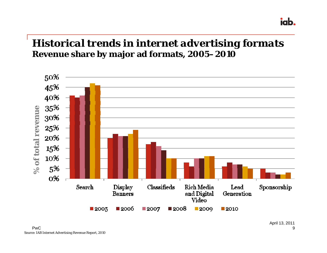#### *Historical trends in internet advertising formats* **Revenue share by major ad formats, 2005–2010**

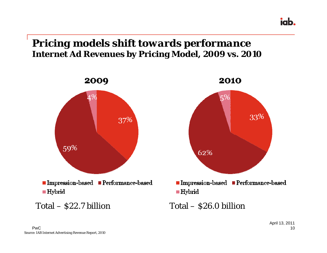#### *Pricing models shift towards performance* **Internet Ad Revenues by Pricing Model, 2009 vs. 2010**

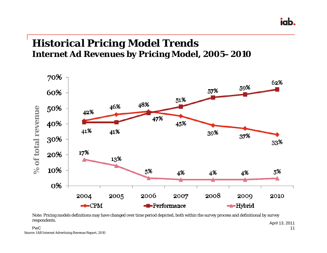#### *Historical Pricing Model Trends* **Internet Ad Revenues by Pricing Model, 2005–2010**



Note: Pricing models definitions may have changed over time period depicted, both within the survey process and definitional by survey respondents.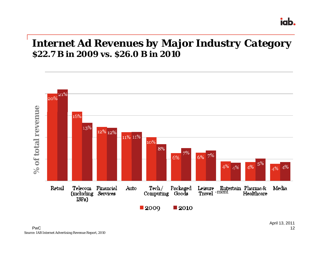#### *Internet Ad Revenues by Major Industry Category* **\$22.7 B in 2009 vs. \$26.0 B in 2010**

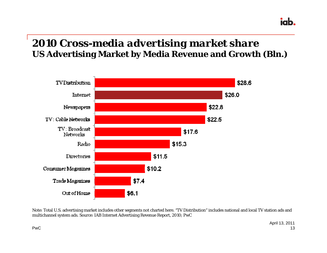### *2010 Cross-media advertising market share* **US Advertising Market by Media Revenue and Growth (Bln.)**



Note: Total U.S. advertising market includes other segments not charted here. "TV Distribution" includes national and local TV station ads and multichannel system ads. Source: IAB Internet Advertising Revenue Report, 2010; PwC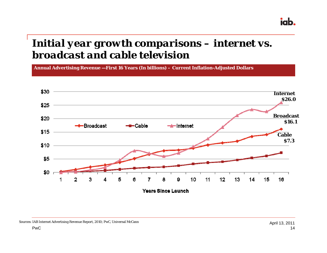### *Initial year growth comparisons – internet vs. broadcast and cable television*

**Annual Advertising Revenue —First 16 Years (In billions) – Current Inflation-Adjusted Dollars**

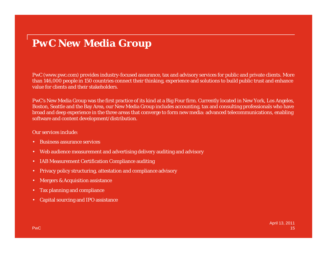### *PwC New Media Group*

PwC (www.pwc.com) provides industry-focused assurance, tax and advisory services for public and private clients. More than 146,000 people in 150 countries connect their thinking, experience and solutions to build public trust and enhance value for clients and their stakeholders.

PwC's New Media Group was the first practice of its kind at a Big Four firm. Currently located in New York, Los Angeles, Boston, Seattle and the Bay Area, our New Media Group includes accounting, tax and consulting professionals who have broad and deep experience in the three areas that converge to form new media: advanced telecommunications, enabling software and content development/distribution.

#### Our services include:

- •Business assurance services
- •Web audience measurement and advertising delivery auditing and advisory
- •IAB Measurement Certification Compliance auditing
- •Privacy policy structuring, attestation and compliance advisory
- •Mergers & Acquisition assistance
- •Tax planning and compliance
- •Capital sourcing and IPO assistance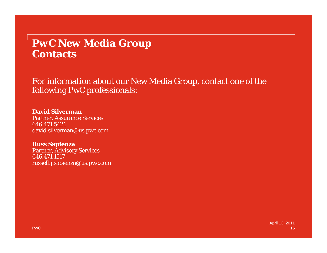#### *PwC New Media Group* **Contacts**

For information about our New Media Group, contact one of the following PwC professionals:

**David Silverman**Partner, Assurance Services 646.471.5421david.silverman@us.pwc.com

**Russ Sapienza** Partner, Advisory Services 646.471.1517russell.j.sapienza@us.pwc.com